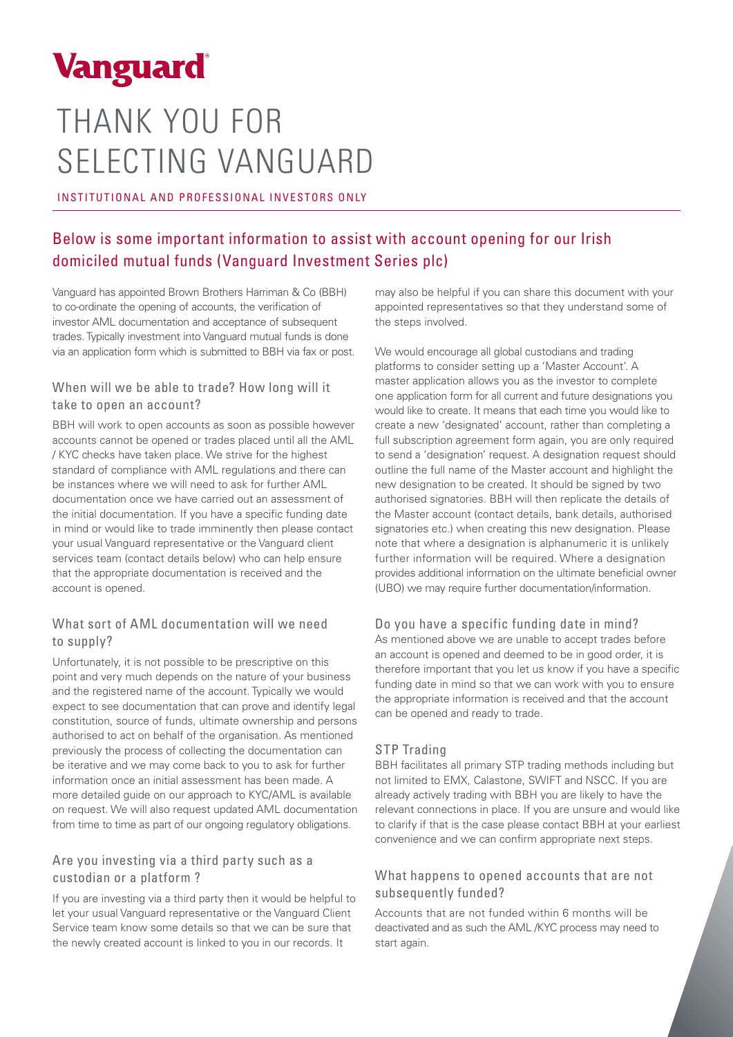

# THANK YOU FOR SELECTING VANGUARD

INSTITUTIONAL AND PROFESSIONAL INVESTORS ONLY

## Below is some important information to assist with account opening for our Irish domiciled mutual funds (Vanguard Investment Series plc)

Vanguard has appointed Brown Brothers Harriman & Co (BBH) to co-ordinate the opening of accounts, the verification of investor AML documentation and acceptance of subsequent trades. Typically investment into Vanguard mutual funds is done via an application form which is submitted to BBH via fax or post.

#### When will we be able to trade? How long will it take to open an account?

BBH will work to open accounts as soon as possible however accounts cannot be opened or trades placed until all the AML / KYC checks have taken place. We strive for the highest standard of compliance with AML regulations and there can be instances where we will need to ask for further AML documentation once we have carried out an assessment of the initial documentation. If you have a specific funding date in mind or would like to trade imminently then please contact your usual Vanguard representative or the Vanguard client services team (contact details below) who can help ensure that the appropriate documentation is received and the account is opened.

#### What sort of AML documentation will we need to supply?

Unfortunately, it is not possible to be prescriptive on this point and very much depends on the nature of your business and the registered name of the account. Typically we would expect to see documentation that can prove and identify legal constitution, source of funds, ultimate ownership and persons authorised to act on behalf of the organisation. As mentioned previously the process of collecting the documentation can be iterative and we may come back to you to ask for further information once an initial assessment has been made. A more detailed guide on our approach to KYC/AML is available on request. We will also request updated AML documentation from time to time as part of our ongoing regulatory obligations.

### Are you investing via a third party such as a custodian or a platform ?

If you are investing via a third party then it would be helpful to let your usual Vanguard representative or the Vanguard Client Service team know some details so that we can be sure that the newly created account is linked to you in our records. It

may also be helpful if you can share this document with your appointed representatives so that they understand some of the steps involved.

We would encourage all global custodians and trading platforms to consider setting up a 'Master Account'. A master application allows you as the investor to complete one application form for all current and future designations you would like to create. It means that each time you would like to create a new 'designated' account, rather than completing a full subscription agreement form again, you are only required to send a 'designation' request. A designation request should outline the full name of the Master account and highlight the new designation to be created. It should be signed by two authorised signatories. BBH will then replicate the details of the Master account (contact details, bank details, authorised signatories etc.) when creating this new designation. Please note that where a designation is alphanumeric it is unlikely further information will be required. Where a designation provides additional information on the ultimate beneficial owner (UBO) we may require further documentation/information.

#### Do you have a specific funding date in mind?

As mentioned above we are unable to accept trades before an account is opened and deemed to be in good order, it is therefore important that you let us know if you have a specific funding date in mind so that we can work with you to ensure the appropriate information is received and that the account can be opened and ready to trade.

#### STP Trading

BBH facilitates all primary STP trading methods including but not limited to EMX, Calastone, SWIFT and NSCC. If you are already actively trading with BBH you are likely to have the relevant connections in place. If you are unsure and would like to clarify if that is the case please contact BBH at your earliest convenience and we can confirm appropriate next steps.

#### What happens to opened accounts that are not subsequently funded?

Accounts that are not funded within 6 months will be deactivated and as such the AML /KYC process may need to start again.